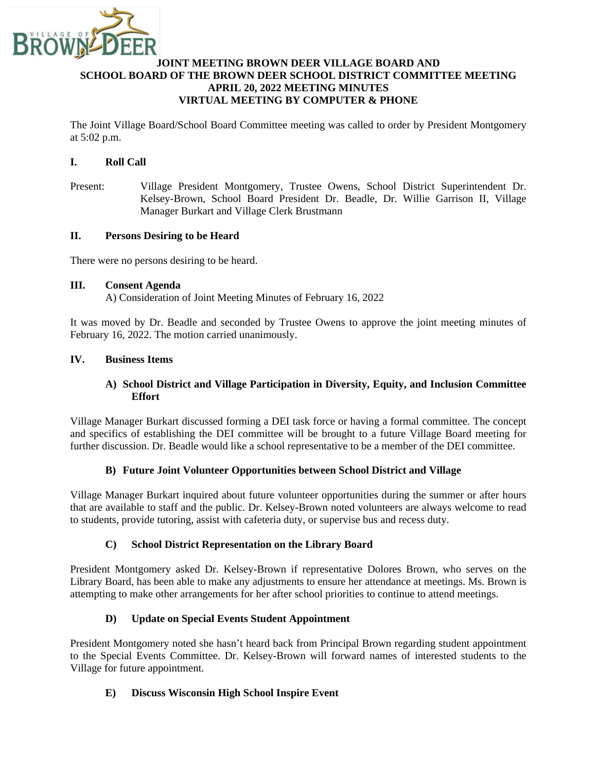

### **JOINT MEETING BROWN DEER VILLAGE BOARD AND SCHOOL BOARD OF THE BROWN DEER SCHOOL DISTRICT COMMITTEE MEETING APRIL 20, 2022 MEETING MINUTES VIRTUAL MEETING BY COMPUTER & PHONE**

The Joint Village Board/School Board Committee meeting was called to order by President Montgomery at 5:02 p.m.

### **I. Roll Call**

Present: Village President Montgomery, Trustee Owens, School District Superintendent Dr. Kelsey-Brown, School Board President Dr. Beadle, Dr. Willie Garrison II, Village Manager Burkart and Village Clerk Brustmann

#### **II. Persons Desiring to be Heard**

There were no persons desiring to be heard.

### **III. Consent Agenda**

A) Consideration of Joint Meeting Minutes of February 16, 2022

It was moved by Dr. Beadle and seconded by Trustee Owens to approve the joint meeting minutes of February 16, 2022. The motion carried unanimously.

### **IV. Business Items**

### **A) School District and Village Participation in Diversity, Equity, and Inclusion Committee Effort**

Village Manager Burkart discussed forming a DEI task force or having a formal committee. The concept and specifics of establishing the DEI committee will be brought to a future Village Board meeting for further discussion. Dr. Beadle would like a school representative to be a member of the DEI committee.

#### **B) Future Joint Volunteer Opportunities between School District and Village**

Village Manager Burkart inquired about future volunteer opportunities during the summer or after hours that are available to staff and the public. Dr. Kelsey-Brown noted volunteers are always welcome to read to students, provide tutoring, assist with cafeteria duty, or supervise bus and recess duty.

## **C) School District Representation on the Library Board**

President Montgomery asked Dr. Kelsey-Brown if representative Dolores Brown, who serves on the Library Board, has been able to make any adjustments to ensure her attendance at meetings. Ms. Brown is attempting to make other arrangements for her after school priorities to continue to attend meetings.

## **D) Update on Special Events Student Appointment**

President Montgomery noted she hasn't heard back from Principal Brown regarding student appointment to the Special Events Committee. Dr. Kelsey-Brown will forward names of interested students to the Village for future appointment.

## **E) Discuss Wisconsin High School Inspire Event**